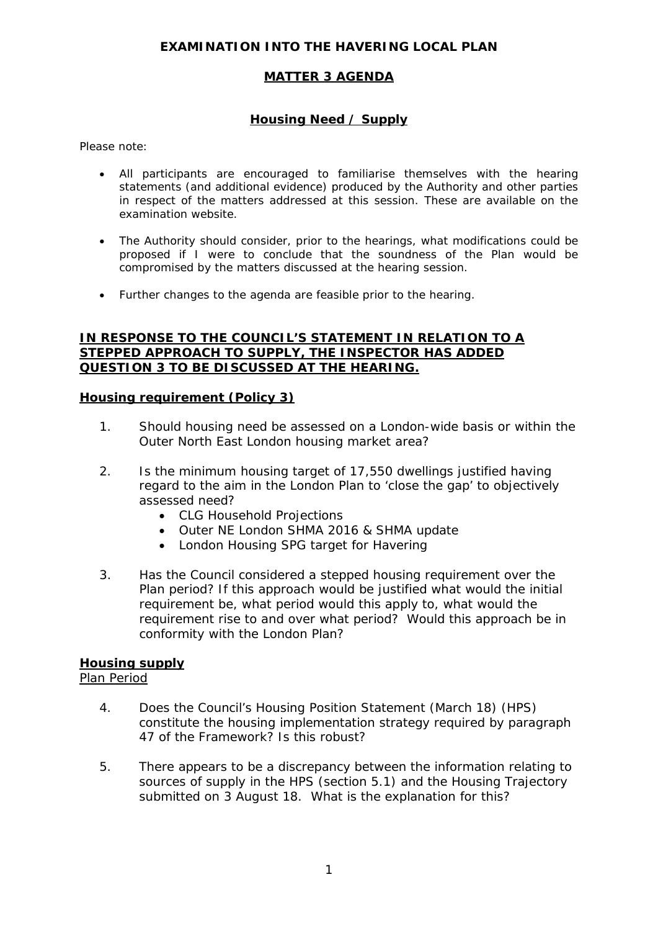## **EXAMINATION INTO THE HAVERING LOCAL PLAN**

## **MATTER 3 AGENDA**

# **Housing Need / Supply**

*Please note:* 

- *All participants are encouraged to familiarise themselves with the hearing statements (and additional evidence) produced by the Authority and other parties in respect of the matters addressed at this session. These are available on the examination website.*
- *The Authority should consider, prior to the hearings, what modifications could be proposed if I were to conclude that the soundness of the Plan would be compromised by the matters discussed at the hearing session.*
- *Further changes to the agenda are feasible prior to the hearing.*

#### **IN RESPONSE TO THE COUNCIL'S STATEMENT IN RELATION TO A STEPPED APPROACH TO SUPPLY, THE INSPECTOR HAS ADDED QUESTION 3 TO BE DISCUSSED AT THE HEARING.**

#### **Housing requirement (Policy 3)**

- 1. Should housing need be assessed on a London-wide basis or within the Outer North East London housing market area?
- 2. Is the minimum housing target of 17,550 dwellings justified having regard to the aim in the London Plan to 'close the gap' to objectively assessed need?
	- CLG Household Projections
	- Outer NE London SHMA 2016 & SHMA update
	- London Housing SPG target for Havering
- 3. Has the Council considered a stepped housing requirement over the Plan period? If this approach would be justified what would the initial requirement be, what period would this apply to, what would the requirement rise to and over what period? Would this approach be in conformity with the London Plan?

## **Housing supply**

## Plan Period

- 4. Does the Council's Housing Position Statement (March 18) (HPS) constitute the housing implementation strategy required by paragraph 47 of the Framework? Is this robust?
- 5. There appears to be a discrepancy between the information relating to sources of supply in the HPS (section 5.1) and the Housing Trajectory submitted on 3 August 18. What is the explanation for this?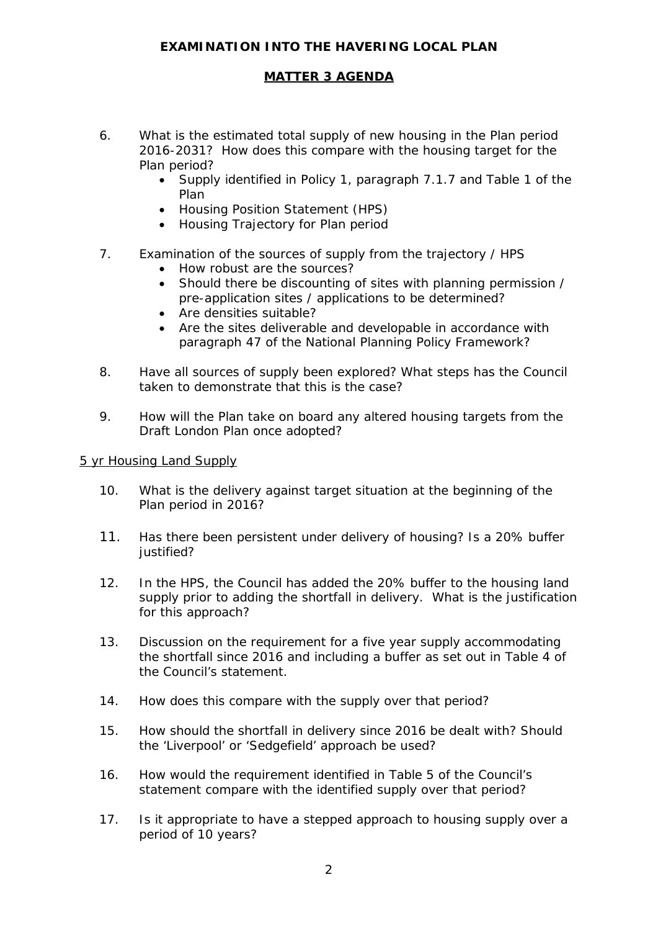# **EXAMINATION INTO THE HAVERING LOCAL PLAN**

#### **MATTER 3 AGENDA**

- 6. What is the estimated total supply of new housing in the Plan period 2016-2031? How does this compare with the housing target for the Plan period?
	- Supply identified in Policy 1, paragraph 7.1.7 and Table 1 of the Plan
	- Housing Position Statement (HPS)
	- Housing Trajectory for Plan period
- 7. Examination of the sources of supply from the trajectory / HPS
	- How robust are the sources?
	- Should there be discounting of sites with planning permission / pre-application sites / applications to be determined?
	- Are densities suitable?
	- Are the sites deliverable and developable in accordance with paragraph 47 of the National Planning Policy Framework?
- 8. Have all sources of supply been explored? What steps has the Council taken to demonstrate that this is the case?
- 9. How will the Plan take on board any altered housing targets from the Draft London Plan once adopted?

#### 5 yr Housing Land Supply

- 10. What is the delivery against target situation at the beginning of the Plan period in 2016?
- 11. Has there been persistent under delivery of housing? Is a 20% buffer justified?
- 12. In the HPS, the Council has added the 20% buffer to the housing land supply prior to adding the shortfall in delivery. What is the justification for this approach?
- 13. Discussion on the requirement for a five year supply accommodating the shortfall since 2016 and including a buffer as set out in Table 4 of the Council's statement.
- 14. How does this compare with the supply over that period?
- 15. How should the shortfall in delivery since 2016 be dealt with? Should the 'Liverpool' or 'Sedgefield' approach be used?
- 16. How would the requirement identified in Table 5 of the Council's statement compare with the identified supply over that period?
- 17. Is it appropriate to have a stepped approach to housing supply over a period of 10 years?